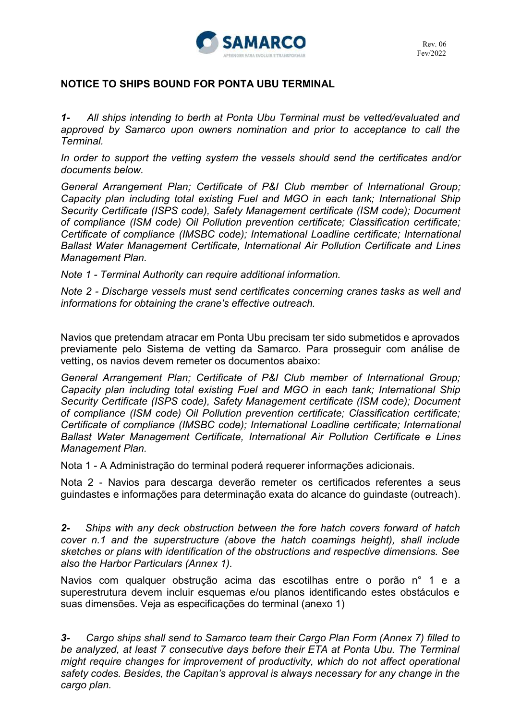

### **NOTICE TO SHIPS BOUND FOR PONTA UBU TERMINAL**

*1- All ships intending to berth at Ponta Ubu Terminal must be vetted/evaluated and approved by Samarco upon owners nomination and prior to acceptance to call the Terminal.* 

*In order to support the vetting system the vessels should send the certificates and/or documents below.* 

*General Arrangement Plan; Certificate of P&I Club member of International Group; Capacity plan including total existing Fuel and MGO in each tank; International Ship Security Certificate (ISPS code), Safety Management certificate (ISM code); Document of compliance (ISM code) Oil Pollution prevention certificate; Classification certificate; Certificate of compliance (IMSBC code); International Loadline certificate; International Ballast Water Management Certificate, International Air Pollution Certificate and Lines Management Plan.* 

*Note 1 - Terminal Authority can require additional information.* 

*Note 2 - Discharge vessels must send certificates concerning cranes tasks as well and informations for obtaining the crane's effective outreach.* 

Navios que pretendam atracar em Ponta Ubu precisam ter sido submetidos e aprovados previamente pelo Sistema de vetting da Samarco. Para prosseguir com análise de vetting, os navios devem remeter os documentos abaixo:

*General Arrangement Plan; Certificate of P&I Club member of International Group; Capacity plan including total existing Fuel and MGO in each tank; International Ship Security Certificate (ISPS code), Safety Management certificate (ISM code); Document of compliance (ISM code) Oil Pollution prevention certificate; Classification certificate; Certificate of compliance (IMSBC code); International Loadline certificate; International Ballast Water Management Certificate, International Air Pollution Certificate e Lines Management Plan.* 

Nota 1 - A Administração do terminal poderá requerer informações adicionais.

Nota 2 - Navios para descarga deverão remeter os certificados referentes a seus guindastes e informações para determinação exata do alcance do guindaste (outreach).

*2- Ships with any deck obstruction between the fore hatch covers forward of hatch cover n.1 and the superstructure (above the hatch coamings height), shall include sketches or plans with identification of the obstructions and respective dimensions. See also the Harbor Particulars (Annex 1).* 

Navios com qualquer obstrução acima das escotilhas entre o porão n° 1 e a superestrutura devem incluir esquemas e/ou planos identificando estes obstáculos e suas dimensões. Veja as especificações do terminal (anexo 1)

*3- Cargo ships shall send to Samarco team their Cargo Plan Form (Annex 7) filled to*  be analyzed, at least 7 consecutive days before their ETA at Ponta Ubu. The Terminal *might require changes for improvement of productivity, which do not affect operational safety codes. Besides, the Capitan's approval is always necessary for any change in the cargo plan.*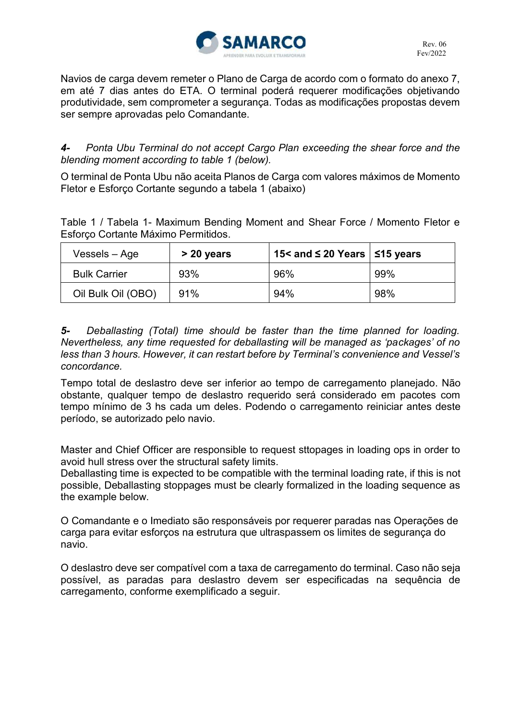

Navios de carga devem remeter o Plano de Carga de acordo com o formato do anexo 7, em até 7 dias antes do ETA. O terminal poderá requerer modificações objetivando produtividade, sem comprometer a segurança. Todas as modificações propostas devem ser sempre aprovadas pelo Comandante.

### *4- Ponta Ubu Terminal do not accept Cargo Plan exceeding the shear force and the blending moment according to table 1 (below).*

O terminal de Ponta Ubu não aceita Planos de Carga com valores máximos de Momento Fletor e Esforço Cortante segundo a tabela 1 (abaixo)

Table 1 / Tabela 1- Maximum Bending Moment and Shear Force / Momento Fletor e Esforço Cortante Máximo Permitidos.

| Vessels – Age       | > 20 years | 15< and ≤ 20 Years $\vert$ ≤15 years |     |
|---------------------|------------|--------------------------------------|-----|
| <b>Bulk Carrier</b> | 93%        | 96%                                  | 99% |
| Oil Bulk Oil (OBO)  | 91%        | 94%                                  | 98% |

*5- Deballasting (Total) time should be faster than the time planned for loading. Nevertheless, any time requested for deballasting will be managed as 'packages' of no less than 3 hours. However, it can restart before by Terminal's convenience and Vessel's concordance.* 

Tempo total de deslastro deve ser inferior ao tempo de carregamento planejado. Não obstante, qualquer tempo de deslastro requerido será considerado em pacotes com tempo mínimo de 3 hs cada um deles. Podendo o carregamento reiniciar antes deste período, se autorizado pelo navio.

Master and Chief Officer are responsible to request sttopages in loading ops in order to avoid hull stress over the structural safety limits.

Deballasting time is expected to be compatible with the terminal loading rate, if this is not possible, Deballasting stoppages must be clearly formalized in the loading sequence as the example below.

O Comandante e o Imediato são responsáveis por requerer paradas nas Operações de carga para evitar esforços na estrutura que ultraspassem os limites de segurança do navio.

O deslastro deve ser compatível com a taxa de carregamento do terminal. Caso não seja possível, as paradas para deslastro devem ser especificadas na sequência de carregamento, conforme exemplificado a seguir.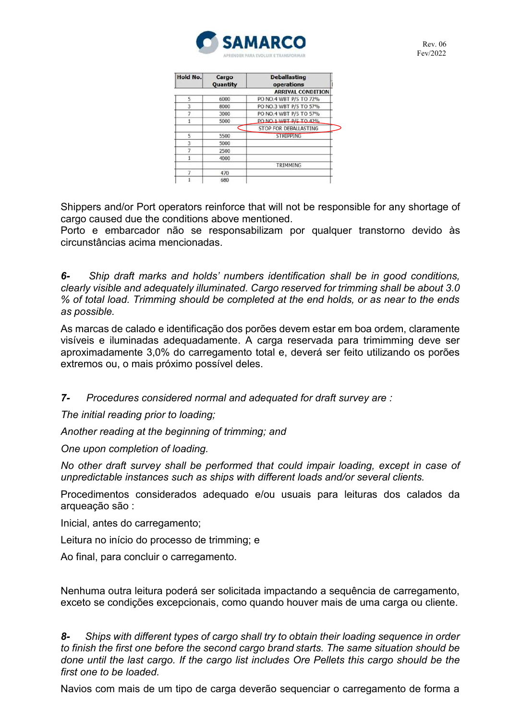

| Hold No. | Cargo<br>Quantity | <b>Deballasting</b><br>operations |
|----------|-------------------|-----------------------------------|
|          |                   | <b>ARRIVAL CONDITION</b>          |
| 5        | 6000              | PO NO.4 WBT P/S TO 72%            |
| ä        | 8000              | PO NO.3 WBT P/S TO 57%            |
|          | 3000              | PO NO.4 WBT P/S TO 57%            |
|          | 5000              | PO NO 1 WRT P/S TO 42%            |
|          |                   | STOP FOR DEBALLASTING             |
| 5        | 5500              | <b>STRIPPING</b>                  |
| R        | 5000              |                                   |
|          | 2500              |                                   |
|          | 4000              |                                   |
|          |                   | TRIMMING                          |
|          | 470               |                                   |
|          | 680               |                                   |

Shippers and/or Port operators reinforce that will not be responsible for any shortage of cargo caused due the conditions above mentioned.

Porto e embarcador não se responsabilizam por qualquer transtorno devido às circunstâncias acima mencionadas.

*6- Ship draft marks and holds' numbers identification shall be in good conditions, clearly visible and adequately illuminated. Cargo reserved for trimming shall be about 3.0 % of total load. Trimming should be completed at the end holds, or as near to the ends as possible.* 

As marcas de calado e identificação dos porões devem estar em boa ordem, claramente visíveis e iluminadas adequadamente. A carga reservada para trimimming deve ser aproximadamente 3,0% do carregamento total e, deverá ser feito utilizando os porões extremos ou, o mais próximo possível deles.

*7- Procedures considered normal and adequated for draft survey are :* 

*The initial reading prior to loading;* 

*Another reading at the beginning of trimming; and*

*One upon completion of loading.* 

*No other draft survey shall be performed that could impair loading, except in case of unpredictable instances such as ships with different loads and/or several clients.* 

Procedimentos considerados adequado e/ou usuais para leituras dos calados da arqueação são :

Inicial, antes do carregamento;

Leitura no início do processo de trimming; e

Ao final, para concluir o carregamento.

Nenhuma outra leitura poderá ser solicitada impactando a sequência de carregamento, exceto se condições excepcionais, como quando houver mais de uma carga ou cliente.

*8- Ships with different types of cargo shall try to obtain their loading sequence in order to finish the first one before the second cargo brand starts. The same situation should be done until the last cargo. If the cargo list includes Ore Pellets this cargo should be the first one to be loaded.* 

Navios com mais de um tipo de carga deverão sequenciar o carregamento de forma a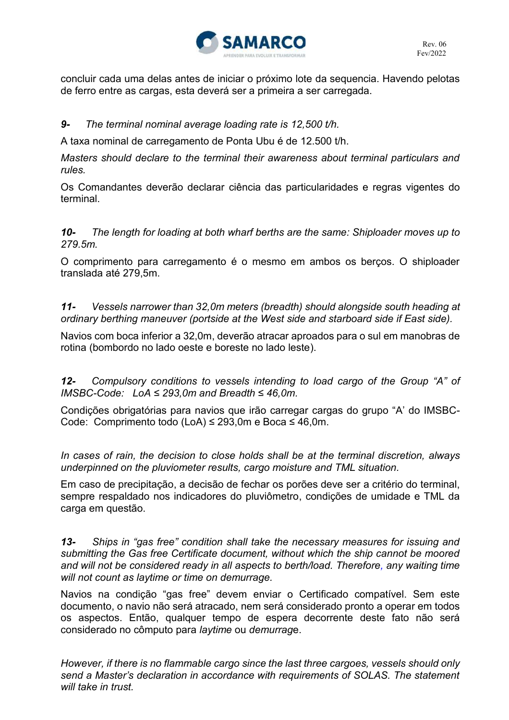

concluir cada uma delas antes de iniciar o próximo lote da sequencia. Havendo pelotas de ferro entre as cargas, esta deverá ser a primeira a ser carregada.

### *9- The terminal nominal average loading rate is 12,500 t/h.*

A taxa nominal de carregamento de Ponta Ubu é de 12.500 t/h.

*Masters should declare to the terminal their awareness about terminal particulars and rules.* 

Os Comandantes deverão declarar ciência das particularidades e regras vigentes do terminal.

*10- The length for loading at both wharf berths are the same: Shiploader moves up to 279.5m.* 

O comprimento para carregamento é o mesmo em ambos os berços. O shiploader translada até 279,5m.

*11- Vessels narrower than 32,0m meters (breadth) should alongside south heading at ordinary berthing maneuver (portside at the West side and starboard side if East side).* 

Navios com boca inferior a 32,0m, deverão atracar aproados para o sul em manobras de rotina (bombordo no lado oeste e boreste no lado leste).

*12- Compulsory conditions to vessels intending to load cargo of the Group "A" of IMSBC-Code: LoA ≤ 293,0m and Breadth ≤ 46,0m.* 

Condições obrigatórias para navios que irão carregar cargas do grupo "A' do IMSBC-Code: Comprimento todo (LoA) ≤ 293,0m e Boca ≤ 46,0m.

*In cases of rain, the decision to close holds shall be at the terminal discretion, always underpinned on the pluviometer results, cargo moisture and TML situation.* 

Em caso de precipitação, a decisão de fechar os porões deve ser a critério do terminal, sempre respaldado nos indicadores do pluviômetro, condições de umidade e TML da carga em questão.

*13- Ships in "gas free" condition shall take the necessary measures for issuing and submitting the Gas free Certificate document, without which the ship cannot be moored*  and will not be considered ready in all aspects to berth/load. Therefore, any waiting time *will not count as laytime or time on demurrage.* 

Navios na condição "gas free" devem enviar o Certificado compatível. Sem este documento, o navio não será atracado, nem será considerado pronto a operar em todos os aspectos. Então, qualquer tempo de espera decorrente deste fato não será considerado no cômputo para *laytime* ou *demurrag*e.

*However, if there is no flammable cargo since the last three cargoes, vessels should only send a Master's declaration in accordance with requirements of SOLAS. The statement will take in trust.*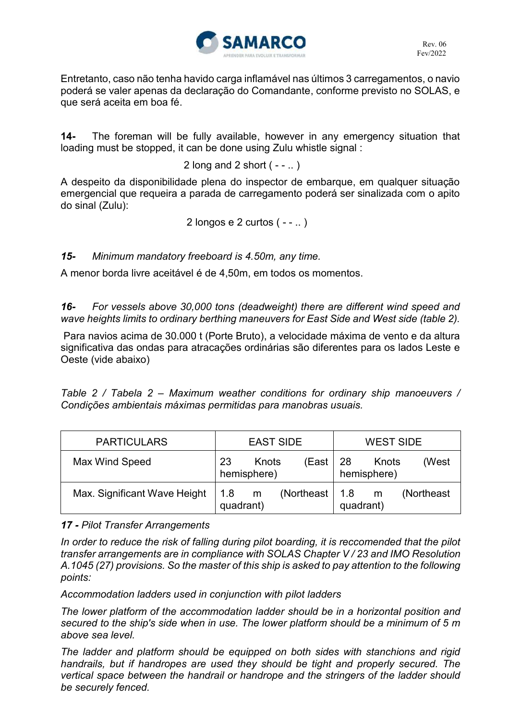

Entretanto, caso não tenha havido carga inflamável nas últimos 3 carregamentos, o navio poderá se valer apenas da declaração do Comandante, conforme previsto no SOLAS, e que será aceita em boa fé.

**14-** The foreman will be fully available, however in any emergency situation that loading must be stopped, it can be done using Zulu whistle signal :

2 long and 2 short  $(- - 1)$ 

A despeito da disponibilidade plena do inspector de embarque, em qualquer situação emergencial que requeira a parada de carregamento poderá ser sinalizada com o apito do sinal (Zulu):

2 longos e 2 curtos  $(-, \ldots)$ 

*15- Minimum mandatory freeboard is 4.50m, any time.* 

A menor borda livre aceitável é de 4,50m, em todos os momentos.

*16- For vessels above 30,000 tons (deadweight) there are different wind speed and wave heights limits to ordinary berthing maneuvers for East Side and West side (table 2).* 

Para navios acima de 30.000 t (Porte Bruto), a velocidade máxima de vento e da altura significativa das ondas para atracações ordinárias são diferentes para os lados Leste e Oeste (vide abaixo)

*Table 2 / Tabela 2 – Maximum weather conditions for ordinary ship manoeuvers / Condições ambientais máximas permitidas para manobras usuais.* 

| <b>PARTICULARS</b>           | <b>EAST SIDE</b>                    | <b>WEST SIDE</b>                     |
|------------------------------|-------------------------------------|--------------------------------------|
| Max Wind Speed               | 23<br>Knots<br>(East<br>hemisphere) | -28<br>(West<br>Knots<br>hemisphere) |
| Max. Significant Wave Height | (Northeast<br>1.8<br>m<br>quadrant) | (Northeast<br>1.8<br>m<br>quadrant)  |

### *17 - Pilot Transfer Arrangements*

*In order to reduce the risk of falling during pilot boarding, it is reccomended that the pilot transfer arrangements are in compliance with SOLAS Chapter V / 23 and IMO Resolution A.1045 (27) provisions. So the master of this ship is asked to pay attention to the following points:* 

*Accommodation ladders used in conjunction with pilot ladders* 

*The lower platform of the accommodation ladder should be in a horizontal position and secured to the ship's side when in use. The lower platform should be a minimum of 5 m above sea level.* 

*The ladder and platform should be equipped on both sides with stanchions and rigid handrails, but if handropes are used they should be tight and properly secured. The vertical space between the handrail or handrope and the stringers of the ladder should be securely fenced.*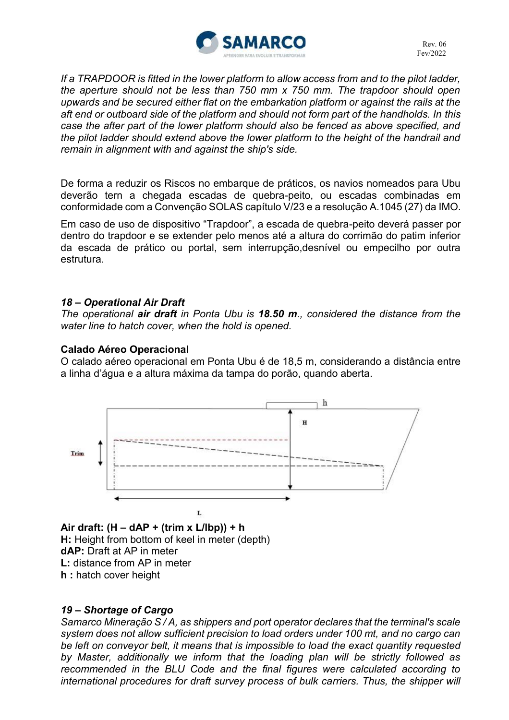

*If a TRAPDOOR is fitted in the lower platform to allow access from and to the pilot ladder, the aperture should not be less than 750 mm x 750 mm. The trapdoor should open upwards and be secured either flat on the embarkation platform or against the rails at the aft end or outboard side of the platform and should not form part of the handholds. In this case the after part of the lower platform should also be fenced as above specified, and the pilot ladder should extend above the lower platform to the height of the handrail and remain in alignment with and against the ship's side.* 

De forma a reduzir os Riscos no embarque de práticos, os navios nomeados para Ubu deverão tern a chegada escadas de quebra-peito, ou escadas combinadas em conformidade com a Convenção SOLAS capítulo V/23 e a resolução A.1045 (27) da IMO.

Em caso de uso de dispositivo "Trapdoor", a escada de quebra-peito deverá passer por dentro do trapdoor e se extender pelo menos até a altura do corrimão do patim inferior da escada de prático ou portal, sem interrupção,desnível ou empecilho por outra estrutura.

### *18 – Operational Air Draft*

*The operational air draft in Ponta Ubu is 18.50 m., considered the distance from the water line to hatch cover, when the hold is opened.* 

#### **Calado Aéreo Operacional**

O calado aéreo operacional em Ponta Ubu é de 18,5 m, considerando a distância entre a linha d'água e a altura máxima da tampa do porão, quando aberta.



**Air draft: (H – dAP + (trim x L/lbp)) + h H:** Height from bottom of keel in meter (depth) **dAP:** Draft at AP in meter **L:** distance from AP in meter **h :** hatch cover height

#### *19 – Shortage of Cargo*

*Samarco Mineração S / A, as shippers and port operator declares that the terminal's scale system does not allow sufficient precision to load orders under 100 mt, and no cargo can be left on conveyor belt, it means that is impossible to load the exact quantity requested by Master, additionally we inform that the loading plan will be strictly followed as recommended in the BLU Code and the final figures were calculated according to*  international procedures for draft survey process of bulk carriers. Thus, the shipper will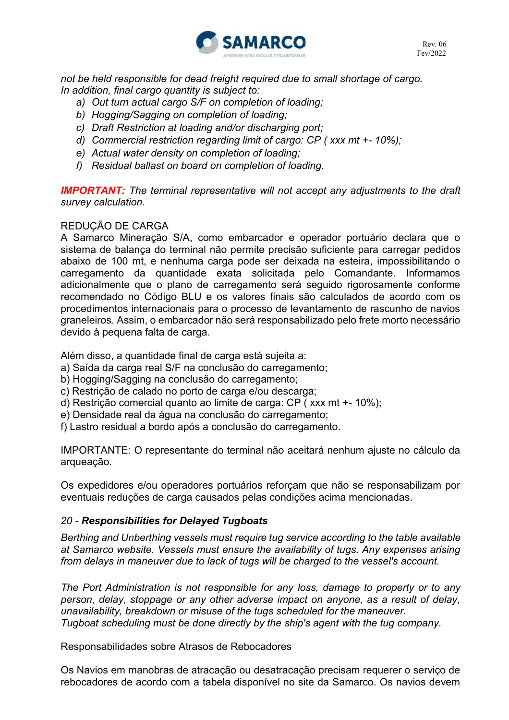

*not be held responsible for dead freight required due to small shortage of cargo. In addition, final cargo quantity is subject to:* 

- *a) Out turn actual cargo S/F on completion of loading;*
- *b) Hogging/Sagging on completion of loading;*
- *c) Draft Restriction at loading and/or discharging port;*
- *d) Commercial restriction regarding limit of cargo: CP ( xxx mt +- 10%);*
- *e) Actual water density on completion of loading;*
- *f) Residual ballast on board on completion of loading.*

**IMPORTANT:** The terminal representative will not accept any adjustments to the draft *survey calculation.* 

#### REDUÇÃO DE CARGA

A Samarco Mineração S/A, como embarcador e operador portuário declara que o sistema de balança do terminal não permite precisão suficiente para carregar pedidos abaixo de 100 mt, e nenhuma carga pode ser deixada na esteira, impossibilitando o carregamento da quantidade exata solicitada pelo Comandante. Informamos adicionalmente que o plano de carregamento será seguido rigorosamente conforme recomendado no Código BLU e os valores finais são calculados de acordo com os procedimentos internacionais para o processo de levantamento de rascunho de navios graneleiros. Assim, o embarcador não será responsabilizado pelo frete morto necessário devido à pequena falta de carga.

Além disso, a quantidade final de carga está sujeita a:

- a) Saída da carga real S/F na conclusão do carregamento;
- b) Hogging/Sagging na conclusão do carregamento;
- c) Restrição de calado no porto de carga e/ou descarga;
- d) Restrição comercial quanto ao limite de carga: CP ( xxx mt +- 10%);
- e) Densidade real da água na conclusão do carregamento;
- f) Lastro residual a bordo após a conclusão do carregamento.

IMPORTANTE: O representante do terminal não aceitará nenhum ajuste no cálculo da arqueação.

Os expedidores e/ou operadores portuários reforçam que não se responsabilizam por eventuais reduções de carga causados pelas condições acima mencionadas.

#### *20 - Responsibilities for Delayed Tugboats*

*Berthing and Unberthing vessels must require tug service according to the table available at Samarco website. Vessels must ensure the availability of tugs. Any expenses arising from delays in maneuver due to lack of tugs will be charged to the vessel's account.*

*The Port Administration is not responsible for any loss, damage to property or to any person, delay, stoppage or any other adverse impact on anyone, as a result of delay, unavailability, breakdown or misuse of the tugs scheduled for the maneuver. Tugboat scheduling must be done directly by the ship's agent with the tug company.* 

Responsabilidades sobre Atrasos de Rebocadores

Os Navios em manobras de atracação ou desatracação precisam requerer o serviço de rebocadores de acordo com a tabela disponível no site da Samarco. Os navios devem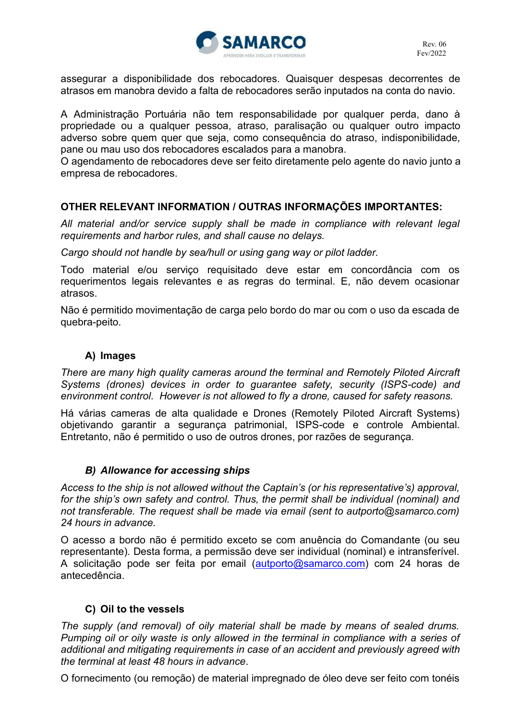

assegurar a disponibilidade dos rebocadores. Quaisquer despesas decorrentes de atrasos em manobra devido a falta de rebocadores serão inputados na conta do navio.

A Administração Portuária não tem responsabilidade por qualquer perda, dano à propriedade ou a qualquer pessoa, atraso, paralisação ou qualquer outro impacto adverso sobre quem quer que seja, como consequência do atraso, indisponibilidade, pane ou mau uso dos rebocadores escalados para a manobra.

O agendamento de rebocadores deve ser feito diretamente pelo agente do navio junto a empresa de rebocadores.

### **OTHER RELEVANT INFORMATION / OUTRAS INFORMAÇÕES IMPORTANTES:**

All material and/or service supply shall be made in compliance with relevant legal *requirements and harbor rules, and shall cause no delays.* 

*Cargo should not handle by sea/hull or using gang way or pilot ladder.* 

Todo material e/ou serviço requisitado deve estar em concordância com os requerimentos legais relevantes e as regras do terminal. E, não devem ocasionar atrasos.

Não é permitido movimentação de carga pelo bordo do mar ou com o uso da escada de quebra-peito.

# **A) Images**

*There are many high quality cameras around the terminal and Remotely Piloted Aircraft Systems (drones) devices in order to guarantee safety, security (ISPS-code) and environment control. However is not allowed to fly a drone, caused for safety reasons.* 

Há várias cameras de alta qualidade e Drones (Remotely Piloted Aircraft Systems) objetivando garantir a segurança patrimonial, ISPS-code e controle Ambiental. Entretanto, não é permitido o uso de outros drones, por razões de segurança.

#### *B) Allowance for accessing ships*

*Access to the ship is not allowed without the Captain's (or his representative's) approval, for the ship's own safety and control. Thus, the permit shall be individual (nominal) and not transferable. The request shall be made via email (sent to autporto@samarco.com) 24 hours in advance.* 

O acesso a bordo não é permitido exceto se com anuência do Comandante (ou seu representante). Desta forma, a permissão deve ser individual (nominal) e intransferível. A solicitação pode ser feita por email [\(autporto@samarco.com\)](mailto:autporto@samarco.com) com 24 horas de antecedência.

### **C) Oil to the vessels**

*The supply (and removal) of oily material shall be made by means of sealed drums. Pumping oil or oily waste is only allowed in the terminal in compliance with a series of additional and mitigating requirements in case of an accident and previously agreed with the terminal at least 48 hours in advance*.

O fornecimento (ou remoção) de material impregnado de óleo deve ser feito com tonéis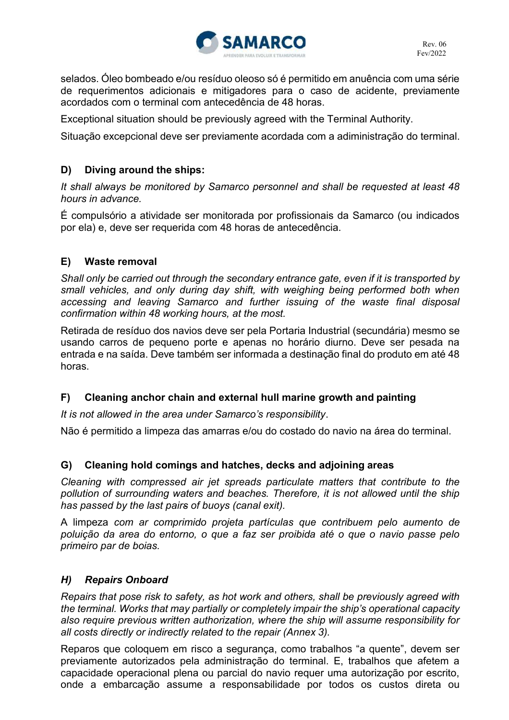

selados. Óleo bombeado e/ou resíduo oleoso só é permitido em anuência com uma série de requerimentos adicionais e mitigadores para o caso de acidente, previamente acordados com o terminal com antecedência de 48 horas.

Exceptional situation should be previously agreed with the Terminal Authority.

Situação excepcional deve ser previamente acordada com a adiministração do terminal.

# **D) Diving around the ships:**

*It shall always be monitored by Samarco personnel and shall be requested at least 48 hours in advance.* 

É compulsório a atividade ser monitorada por profissionais da Samarco (ou indicados por ela) e, deve ser requerida com 48 horas de antecedência.

### **E) Waste removal**

*Shall only be carried out through the secondary entrance gate, even if it is transported by small vehicles, and only during day shift, with weighing being performed both when accessing and leaving Samarco and further issuing of the waste final disposal confirmation within 48 working hours, at the most.* 

Retirada de resíduo dos navios deve ser pela Portaria Industrial (secundária) mesmo se usando carros de pequeno porte e apenas no horário diurno. Deve ser pesada na entrada e na saída. Deve também ser informada a destinação final do produto em até 48 horas.

### **F) Cleaning anchor chain and external hull marine growth and painting**

*It is not allowed in the area under Samarco's responsibility*.

Não é permitido a limpeza das amarras e/ou do costado do navio na área do terminal.

#### **G) Cleaning hold comings and hatches, decks and adjoining areas**

*Cleaning with compressed air jet spreads particulate matters that contribute to the pollution of surrounding waters and beaches. Therefore, it is not allowed until the ship has passed by the last pairs of buoys (canal exit).* 

A limpeza *com ar comprimido projeta partículas que contribuem pelo aumento de poluição da area do entorno, o que a faz ser proibida até o que o navio passe pelo primeiro par de boias.* 

#### *H) Repairs Onboard*

*Repairs that pose risk to safety, as hot work and others, shall be previously agreed with the terminal. Works that may partially or completely impair the ship's operational capacity also require previous written authorization, where the ship will assume responsibility for all costs directly or indirectly related to the repair (Annex 3).* 

Reparos que coloquem em risco a segurança, como trabalhos "a quente", devem ser previamente autorizados pela administração do terminal. E, trabalhos que afetem a capacidade operacional plena ou parcial do navio requer uma autorização por escrito, onde a embarcação assume a responsabilidade por todos os custos direta ou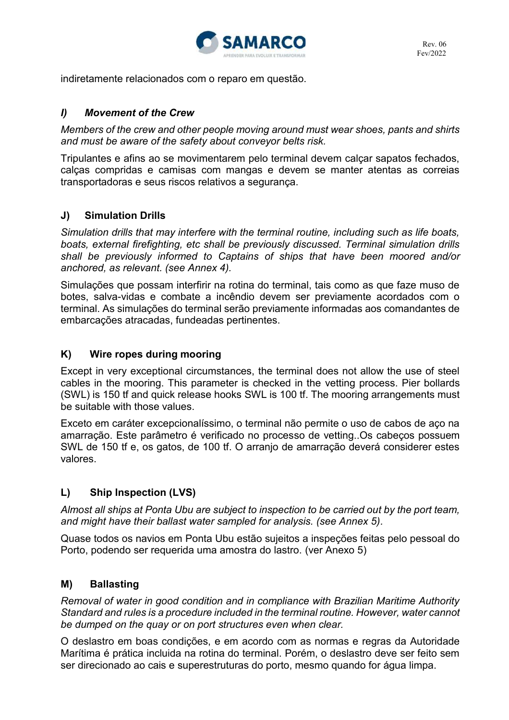

indiretamente relacionados com o reparo em questão.

### *I) Movement of the Crew*

*Members of the crew and other people moving around must wear shoes, pants and shirts and must be aware of the safety about conveyor belts risk.* 

Tripulantes e afins ao se movimentarem pelo terminal devem calçar sapatos fechados, calças compridas e camisas com mangas e devem se manter atentas as correias transportadoras e seus riscos relativos a segurança.

### **J) Simulation Drills**

*Simulation drills that may interfere with the terminal routine, including such as life boats, boats, external firefighting, etc shall be previously discussed. Terminal simulation drills shall be previously informed to Captains of ships that have been moored and/or anchored, as relevant. (see Annex 4).* 

Simulações que possam interfirir na rotina do terminal, tais como as que faze muso de botes, salva-vidas e combate a incêndio devem ser previamente acordados com o terminal. As simulações do terminal serão previamente informadas aos comandantes de embarcações atracadas, fundeadas pertinentes.

### **K) Wire ropes during mooring**

Except in very exceptional circumstances, the terminal does not allow the use of steel cables in the mooring. This parameter is checked in the vetting process. Pier bollards (SWL) is 150 tf and quick release hooks SWL is 100 tf. The mooring arrangements must be suitable with those values.

Exceto em caráter excepcionalíssimo, o terminal não permite o uso de cabos de aço na amarração. Este parâmetro é verificado no processo de vetting..Os cabeços possuem SWL de 150 tf e, os gatos, de 100 tf. O arranjo de amarração deverá considerer estes valores.

### **L) Ship Inspection (LVS)**

*Almost all ships at Ponta Ubu are subject to inspection to be carried out by the port team, and might have their ballast water sampled for analysis. (see Annex 5).* 

Quase todos os navios em Ponta Ubu estão sujeitos a inspeções feitas pelo pessoal do Porto, podendo ser requerida uma amostra do lastro. (ver Anexo 5)

#### **M) Ballasting**

*Removal of water in good condition and in compliance with Brazilian Maritime Authority Standard and rules is a procedure included in the terminal routine. However, water cannot be dumped on the quay or on port structures even when clear.* 

O deslastro em boas condições, e em acordo com as normas e regras da Autoridade Marítima é prática incluida na rotina do terminal. Porém, o deslastro deve ser feito sem ser direcionado ao cais e superestruturas do porto, mesmo quando for água limpa.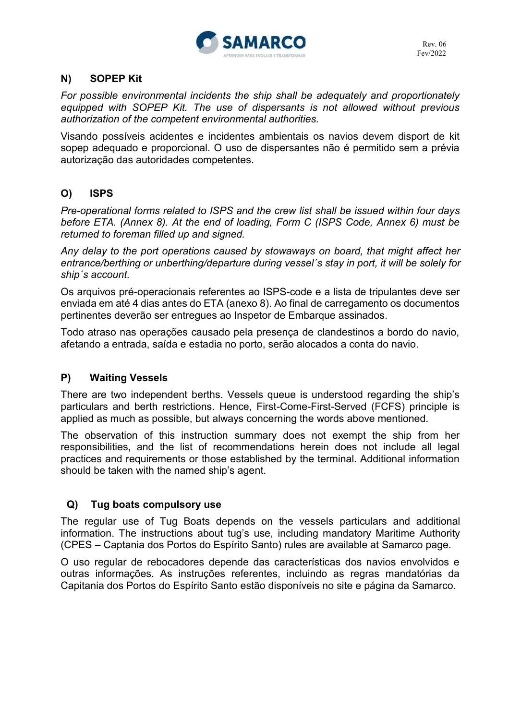

# **N) SOPEP Kit**

*For possible environmental incidents the ship shall be adequately and proportionately equipped with SOPEP Kit. The use of dispersants is not allowed without previous authorization of the competent environmental authorities.* 

Visando possíveis acidentes e incidentes ambientais os navios devem disport de kit sopep adequado e proporcional. O uso de dispersantes não é permitido sem a prévia autorização das autoridades competentes.

# **O) ISPS**

*Pre-operational forms related to ISPS and the crew list shall be issued within four days before ETA. (Annex 8). At the end of loading, Form C (ISPS Code, Annex 6) must be returned to foreman filled up and signed.* 

*Any delay to the port operations caused by stowaways on board, that might affect her entrance/berthing or unberthing/departure during vessel´s stay in port, it will be solely for ship´s account.* 

Os arquivos pré-operacionais referentes ao ISPS-code e a lista de tripulantes deve ser enviada em até 4 dias antes do ETA (anexo 8). Ao final de carregamento os documentos pertinentes deverão ser entregues ao Inspetor de Embarque assinados.

Todo atraso nas operações causado pela presença de clandestinos a bordo do navio, afetando a entrada, saída e estadia no porto, serão alocados a conta do navio.

### **P) Waiting Vessels**

There are two independent berths. Vessels queue is understood regarding the ship's particulars and berth restrictions. Hence, First-Come-First-Served (FCFS) principle is applied as much as possible, but always concerning the words above mentioned.

The observation of this instruction summary does not exempt the ship from her responsibilities, and the list of recommendations herein does not include all legal practices and requirements or those established by the terminal. Additional information should be taken with the named ship's agent.

### **Q) Tug boats compulsory use**

The regular use of Tug Boats depends on the vessels particulars and additional information. The instructions about tug's use, including mandatory Maritime Authority (CPES – Captania dos Portos do Espírito Santo) rules are available at Samarco page.

O uso regular de rebocadores depende das características dos navios envolvidos e outras informações. As instruções referentes, incluindo as regras mandatórias da Capitania dos Portos do Espírito Santo estão disponíveis no site e página da Samarco.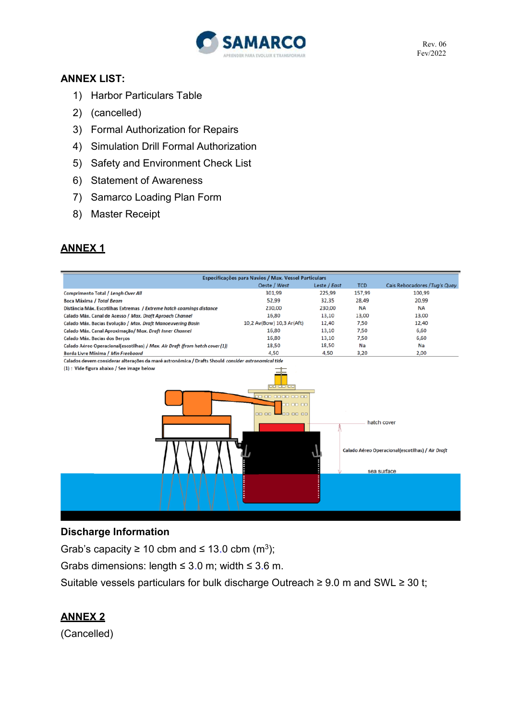

Rev. 06 Fev/2022

### **ANNEX LIST:**

- 1) Harbor Particulars Table
- 2) (cancelled)
- 3) Formal Authorization for Repairs
- 4) Simulation Drill Formal Authorization
- 5) Safety and Environment Check List
- 6) Statement of Awareness
- 7) Samarco Loading Plan Form
- 8) Master Receipt

### **ANNEX 1**

|                                                                                                                                                                                                      | Especificações para Navios / Max. Vessel Particulars |              |            |                               |
|------------------------------------------------------------------------------------------------------------------------------------------------------------------------------------------------------|------------------------------------------------------|--------------|------------|-------------------------------|
|                                                                                                                                                                                                      | Oeste / West                                         | Leste / East | <b>TCD</b> | Cais Rebocadores / Tug's Quay |
| Comprimento Total / Lengh Over All                                                                                                                                                                   | 301,99                                               | 225,99       | 157,99     | 100,99                        |
| Boca Máxima / Total Beam                                                                                                                                                                             | 52,99                                                | 32,35        | 28,49      | 20,99                         |
| Distância Máx. Escotilhas Extremas / Extreme hatch coamings distance                                                                                                                                 | 230,00                                               | 230,00       | <b>NA</b>  | <b>NA</b>                     |
| Calado Máx. Canal de Acesso / Max. Draft Aproach Channel                                                                                                                                             | 16,80                                                | 13,10        | 13,00      | 13,00                         |
| Calado Máx. Bacias Evolução / Max. Draft Manoeuvering Basin                                                                                                                                          | 10,2 Av(Bow) 10,3 Ar(Aft)                            | 12,40        | 7,50       | 12,40                         |
| Calado Máx. Canal Aproximação/ Max. Draft Inner Channel                                                                                                                                              | 16,80                                                | 13,10        | 7,50       | 6,60                          |
| Calado Máx. Bacias dos Berços                                                                                                                                                                        | 16,80                                                | 13,10        | 7,50       | 6,60                          |
| Calado Aéreo Operacional(escotilhas) / Max. Air Draft (from hatch cover (1))                                                                                                                         | 18,50                                                | 18,50        | Na         | Na                            |
| Borda Livre Mínima / Min Freeboard                                                                                                                                                                   | 4,50                                                 | 4,50         | 3,20       | 2,00                          |
| Calados devem considerar alterações da maré astronômica / Drafts Should consider astronomical tide                                                                                                   |                                                      |              |            |                               |
| (1) : Vide figura abaixo / See image below<br><u>00 00 00</u><br><u>po oo oo oo oo oo</u><br>30 00 00<br><b>DD 00</b><br>00 00 00<br>hatch cover<br>Calado Aéreo Operacional(escotilhas) / Air Draft |                                                      |              |            | sea surface                   |
|                                                                                                                                                                                                      |                                                      |              |            |                               |

#### **Discharge Information**

Grab's capacity  $\geq 10$  cbm and  $\leq 13.0$  cbm (m<sup>3</sup>);

Grabs dimensions: length  $\leq$  3.0 m; width  $\leq$  3.6 m.

Suitable vessels particulars for bulk discharge Outreach ≥ 9.0 m and SWL ≥ 30 t;

### **ANNEX 2**

(Cancelled)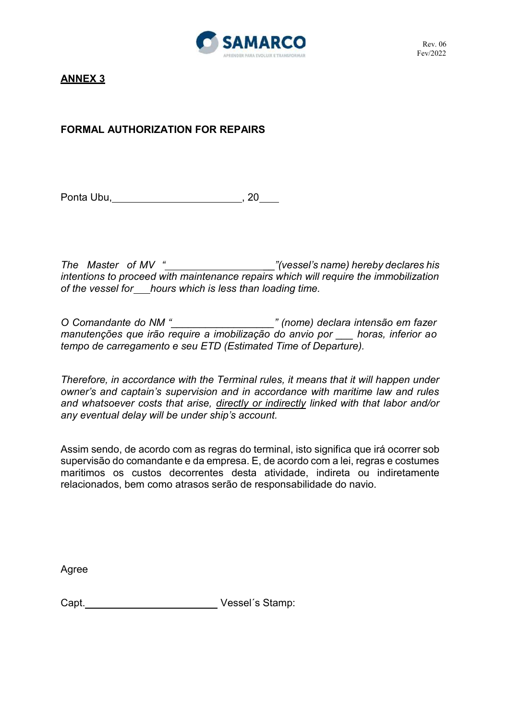

# **FORMAL AUTHORIZATION FOR REPAIRS**

Ponta Ubu, and the set of the set of the set of the set of the set of the set of the set of the set of the set of the set of the set of the set of the set of the set of the set of the set of the set of the set of the set o

*The Master of MV " \_\_"(vessel's name) hereby declares his intentions to proceed with maintenance repairs which will require the immobilization*  of the vessel for\_\_\_hours which is less than loading time.

*O Comandante do NM "\_\_\_\_\_\_\_\_\_\_\_\_\_\_\_\_\_\_" (nome) declara intensão em fazer manutenções que irão require a imobilização do anvio por \_\_\_ horas, inferior ao tempo de carregamento e seu ETD (Estimated Time of Departure).* 

*Therefore, in accordance with the Terminal rules, it means that it will happen under owner's and captain's supervision and in accordance with maritime law and rules and whatsoever costs that arise, directly or indirectly linked with that labor and/or any eventual delay will be under ship's account.* 

Assim sendo, de acordo com as regras do terminal, isto significa que irá ocorrer sob supervisão do comandante e da empresa. E, de acordo com a lei, regras e costumes maritimos os custos decorrentes desta atividade, indireta ou indiretamente relacionados, bem como atrasos serão de responsabilidade do navio.

Agree

Capt. Vessel´s Stamp: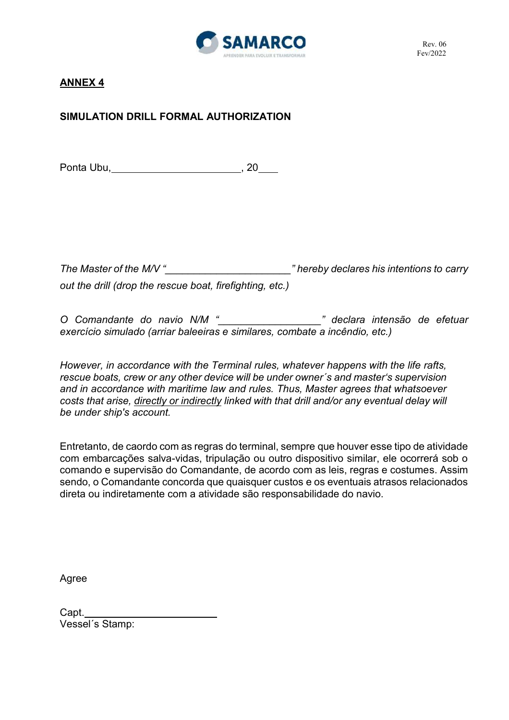

# **SIMULATION DRILL FORMAL AUTHORIZATION**

Ponta Ubu, , 20

*The Master of the M/V "\_\_\_\_\_\_\_\_\_\_\_\_\_\_\_\_\_\_\_\_\_\_" hereby declares his intentions to carry out the drill (drop the rescue boat, firefighting, etc.)* 

*O Comandante do navio N/M "\_\_\_\_\_\_\_\_\_\_\_\_\_\_\_\_\_\_" declara intensão de efetuar exercício simulado (arriar baleeiras e similares, combate a incêndio, etc.)* 

*However, in accordance with the Terminal rules, whatever happens with the life rafts, rescue boats, crew or any other device will be under owner´s and master's supervision and in accordance with maritime law and rules. Thus, Master agrees that whatsoever costs that arise, directly or indirectly linked with that drill and/or any eventual delay will be under ship's account.* 

Entretanto, de caordo com as regras do terminal, sempre que houver esse tipo de atividade com embarcações salva-vidas, tripulação ou outro dispositivo similar, ele ocorrerá sob o comando e supervisão do Comandante, de acordo com as leis, regras e costumes. Assim sendo, o Comandante concorda que quaisquer custos e os eventuais atrasos relacionados direta ou indiretamente com a atividade são responsabilidade do navio.

Agree

Capt. Vessel´s Stamp: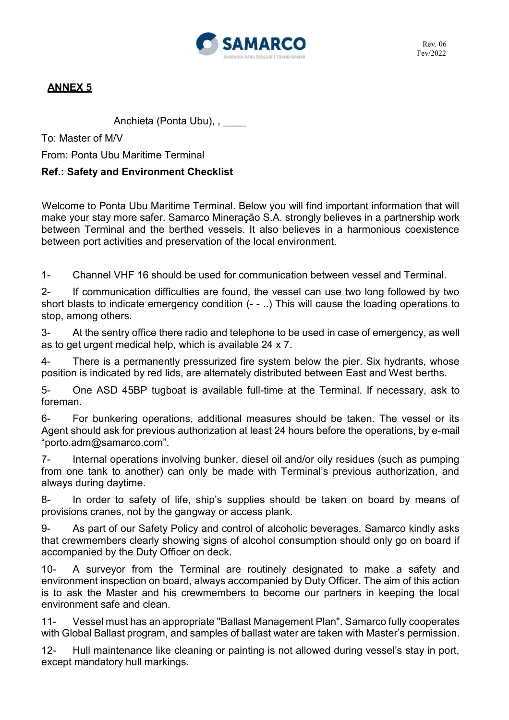

Anchieta (Ponta Ubu), , \_\_\_\_\_

To: Master of M/V

From: Ponta Ubu Maritime Terminal

# **Ref.: Safety and Environment Checklist**

 Welcome to Ponta Ubu Maritime Terminal. Below you will find important information that will make your stay more safer. Samarco Mineração S.A. strongly believes in a partnership work between Terminal and the berthed vessels. It also believes in a harmonious coexistence between port activities and preservation of the local environment.

1- Channel VHF 16 should be used for communication between vessel and Terminal.

2- If communication difficulties are found, the vessel can use two long followed by two short blasts to indicate emergency condition (- - ..) This will cause the loading operations to stop, among others.

3- At the sentry office there radio and telephone to be used in case of emergency, as well as to get urgent medical help, which is available 24 x 7.

4- There is a permanently pressurized fire system below the pier. Six hydrants, whose position is indicated by red lids, are alternately distributed between East and West berths.

5- One ASD 45BP tugboat is available full-time at the Terminal. If necessary, ask to foreman.

6- For bunkering operations, additional measures should be taken. The vessel or its Agent should ask for previous authorization at least 24 hours before the operations, by e-mail "porto.adm@samarco.com".

7- Internal operations involving bunker, diesel oil and/or oily residues (such as pumping from one tank to another) can only be made with Terminal's previous authorization, and always during daytime.

8- In order to safety of life, ship's supplies should be taken on board by means of provisions cranes, not by the gangway or access plank.

9- As part of our Safety Policy and control of alcoholic beverages, Samarco kindly asks that crewmembers clearly showing signs of alcohol consumption should only go on board if accompanied by the Duty Officer on deck.

10- A surveyor from the Terminal are routinely designated to make a safety and environment inspection on board, always accompanied by Duty Officer. The aim of this action is to ask the Master and his crewmembers to become our partners in keeping the local environment safe and clean.

11- Vessel must has an appropriate "Ballast Management Plan". Samarco fully cooperates with Global Ballast program, and samples of ballast water are taken with Master's permission.

12- Hull maintenance like cleaning or painting is not allowed during vessel's stay in port, except mandatory hull markings.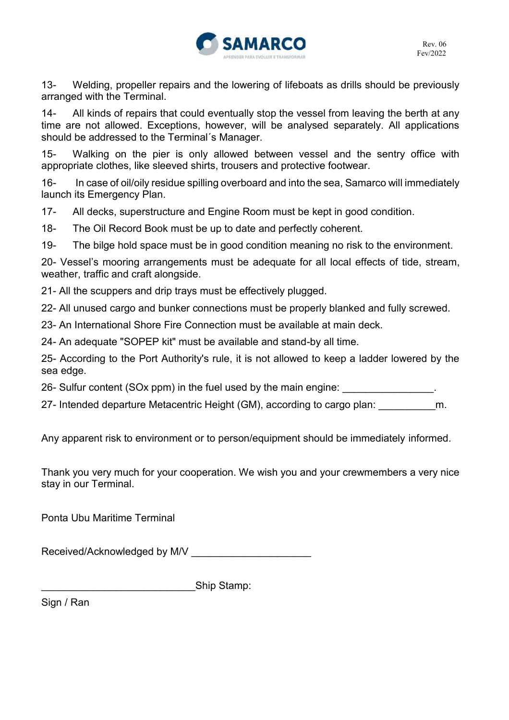

13- Welding, propeller repairs and the lowering of lifeboats as drills should be previously arranged with the Terminal.

14- All kinds of repairs that could eventually stop the vessel from leaving the berth at any time are not allowed. Exceptions, however, will be analysed separately. All applications should be addressed to the Terminal´s Manager.

15- Walking on the pier is only allowed between vessel and the sentry office with appropriate clothes, like sleeved shirts, trousers and protective footwear.

16- In case of oil/oily residue spilling overboard and into the sea, Samarco will immediately launch its Emergency Plan.

17- All decks, superstructure and Engine Room must be kept in good condition.

18- The Oil Record Book must be up to date and perfectly coherent.

19- The bilge hold space must be in good condition meaning no risk to the environment.

20- Vessel's mooring arrangements must be adequate for all local effects of tide, stream, weather, traffic and craft alongside.

21- All the scuppers and drip trays must be effectively plugged.

22- All unused cargo and bunker connections must be properly blanked and fully screwed.

23- An International Shore Fire Connection must be available at main deck.

24- An adequate "SOPEP kit" must be available and stand-by all time.

25- According to the Port Authority's rule, it is not allowed to keep a ladder lowered by the sea edge.

26- Sulfur content (SOx ppm) in the fuel used by the main engine:

27- Intended departure Metacentric Height (GM), according to cargo plan: \_\_\_\_\_\_\_\_\_\_m.

Any apparent risk to environment or to person/equipment should be immediately informed.

Thank you very much for your cooperation. We wish you and your crewmembers a very nice stay in our Terminal.

Ponta Ubu Maritime Terminal

Received/Acknowledged by M/V

\_\_\_\_\_\_\_\_\_\_\_\_\_\_\_\_\_\_\_\_\_\_\_\_\_\_\_Ship Stamp:

Sign / Ran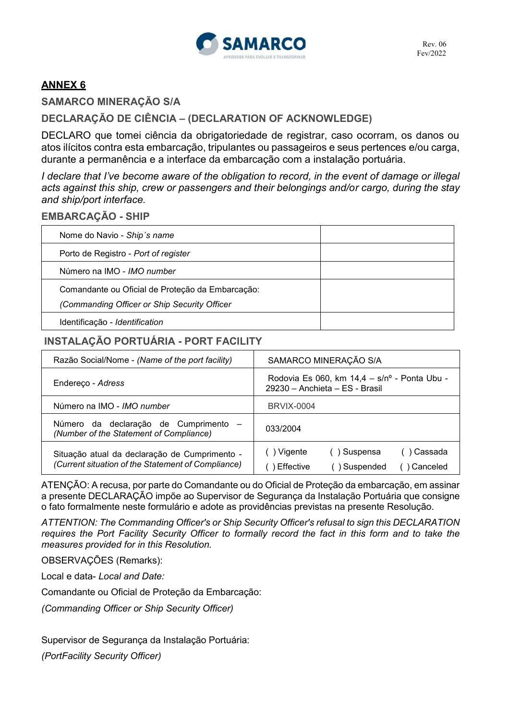

**SAMARCO MINERAÇÃO S/A** 

**DECLARAÇÃO DE CIÊNCIA – (DECLARATION OF ACKNOWLEDGE)**

DECLARO que tomei ciência da obrigatoriedade de registrar, caso ocorram, os danos ou atos ilícitos contra esta embarcação, tripulantes ou passageiros e seus pertences e/ou carga, durante a permanência e a interface da embarcação com a instalação portuária.

*I declare that I've become aware of the obligation to record, in the event of damage or illegal acts against this ship, crew or passengers and their belongings and/or cargo, during the stay and ship/port interface.* 

#### **EMBARCAÇÃO - SHIP**

| Nome do Navio - Ship's name                      |  |
|--------------------------------------------------|--|
| Porto de Registro - Port of register             |  |
| Número na IMO - IMO number                       |  |
| Comandante ou Oficial de Proteção da Embarcação: |  |
| (Commanding Officer or Ship Security Officer     |  |
| Identificação - Identification                   |  |

# **INSTALAÇÃO PORTUÁRIA - PORT FACILITY**

| Razão Social/Nome - (Name of the port facility)                                                     | SAMARCO MINERAÇÃO S/A                                                                   |  |  |
|-----------------------------------------------------------------------------------------------------|-----------------------------------------------------------------------------------------|--|--|
| Endereço - Adress                                                                                   | Rodovia Es 060, km $14.4 - s/n^{\circ}$ - Ponta Ubu -<br>29230 - Anchieta - ES - Brasil |  |  |
| Número na IMO - IMO number                                                                          | <b>BRVIX-0004</b>                                                                       |  |  |
| Número da declaração de Cumprimento<br>(Number of the Statement of Compliance)                      | 033/2004                                                                                |  |  |
| Situação atual da declaração de Cumprimento -<br>(Current situation of the Statement of Compliance) | ) Vigente<br>Cassada<br>() Suspensa<br>Effective<br>Suspended<br>Canceled               |  |  |

ATENÇÃO: A recusa, por parte do Comandante ou do Oficial de Proteção da embarcação, em assinar a presente DECLARAÇÃO impõe ao Supervisor de Segurança da Instalação Portuária que consigne o fato formalmente neste formulário e adote as providências previstas na presente Resolução.

*ATTENTION: The Commanding Officer's or Ship Security Officer's refusal to sign this DECLARATION requires the Port Facility Security Officer to formally record the fact in this form and to take the measures provided for in this Resolution.* 

OBSERVAÇÕES (Remarks):

Local e data- *Local and Date:* 

Comandante ou Oficial de Proteção da Embarcação:

*(Commanding Officer or Ship Security Officer)* 

Supervisor de Segurança da Instalação Portuária:

*(PortFacility Security Officer)*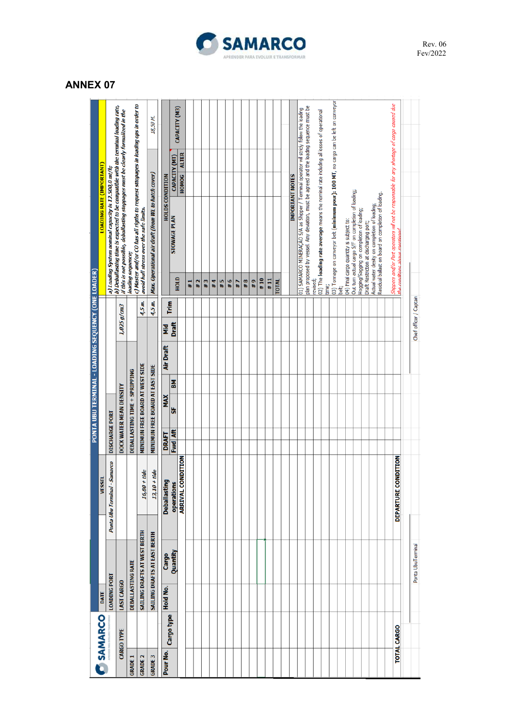